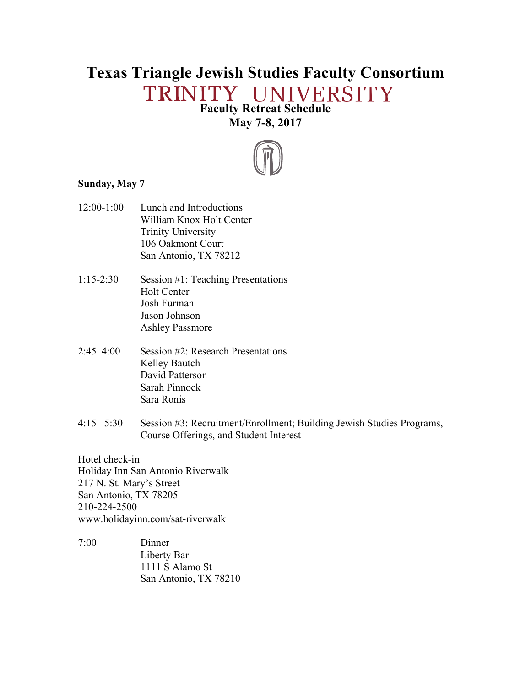# **Texas Triangle Jewish Studies Faculty Consortium** TRINITY UNIVERSITY

# **Faculty Retreat Schedule May 7-8, 2017**



#### **Sunday, May 7**

- 12:00-1:00 Lunch and Introductions William Knox Holt Center Trinity University 106 Oakmont Court San Antonio, TX 78212
- 1:15-2:30 Session #1: Teaching Presentations Holt Center Josh Furman Jason Johnson Ashley Passmore
- 2:45–4:00 Session #2: Research Presentations Kelley Bautch David Patterson Sarah Pinnock Sara Ronis
- 4:15– 5:30 Session #3: Recruitment/Enrollment; Building Jewish Studies Programs, Course Offerings, and Student Interest

Hotel check-in Holiday Inn San Antonio Riverwalk 217 N. St. Mary's Street San Antonio, TX 78205 210-224-2500 www.holidayinn.com/sat-riverwalk

7:00 Dinner Liberty Bar 1111 S Alamo St San Antonio, TX 78210